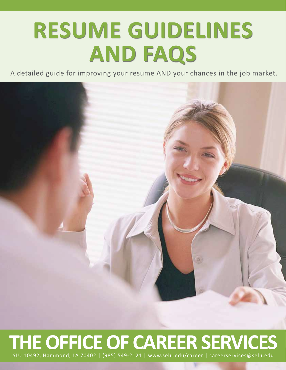# **RESUME GUIDELINES AND FAQS**

A detailed guide for improving your resume AND your chances in the job market.



# **THE OFFICE OF CAREER SERVICES** SLU 10492, Hammond, LA 70402 | (985) 549-2121 | www.selu.edu/career | careerservices@selu.edu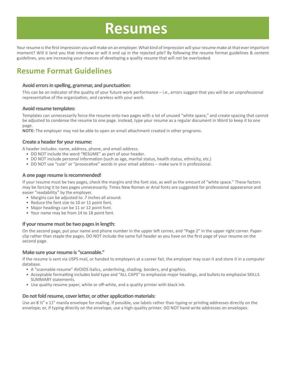# **Resumes**

Your resume is the first impression you will make on an employer. What kind of impression will your resume make at that ever important moment? Will it land you that interview or will it end up in the rejected pile? By following the resume format guidelines & content guidelines, you are increasing your chances of developing a quality resume that will not be overlooked.

## **Resume Format Guidelines**

#### **Avoid errors in spelling, grammar, and punctuation:**

This can be an indicator of the quality of your future work performance – i.e., errors suggest that you will be an unprofessional representative of the organization, and careless with your work.

#### **Avoid resume templates:**

Templates can unnecessarily force the resume onto two pages with a lot of unused "white space," and create spacing that cannot be adjusted to condense the resume to one page. Instead, type your resume as a regular document in Word to keep it to one page.

**NOTE:** The employer may not be able to open an email attachment created in other programs.

#### **Create a header for your resume:**

A header includes: name, address, phone, and email address.

- DO NOT include the word "RESUME" as part of your header.
- DO NOT include personal information (such as age, marital status, health status, ethnicity, etc.)
- DO NOT use "cute" or "provocative" words in your email address make sure it is professional.

#### **A one page resume is recommended!**

If your resume must be two pages, check the margins and the font size, as well as the amount of "white space." These factors may be forcing it to two pages unnecessarily. Times New Roman or Arial fonts are suggested for professional appearance and easier "readability" by the employer.

- Margins can be adjusted to .7 inches all around.
- Reduce the font size to 10 or 11 point font.
- Major headings can be 11 or 12 point font.
- Your name may be from 14 to 18 point font.

#### **If your resume must be two pages in length:**

On the second page, put your name and phone number in the upper left corner, and "Page 2" in the upper right corner. Paperclip rather than staple the pages. DO NOT include the same full header as you have on the first page of your resume on the second page.

#### **Make sure your resume is "scannable."**

If the resume is sent via USPS mail, or handed to employers at a career fair, the employer may scan it and store it in a computer database.

- A "scannable resume" AVOIDS italics, underlining, shading, borders, and graphics.
- Acceptable formatting includes bold type and "ALL CAPS" to emphasize major headings, and bullets to emphasize SKILLS SUMMARY statements.
- Use quality resume paper, white or off-white, and a quality printer with black ink.

#### **Do not fold resume, cover letter, or other application materials:**

Use an 8  $\frac{y''}{x}$  x 11" manila envelope for mailing. If possible, use labels rather than typing or printing addresses directly on the envelope; or, if typing directly on the envelope, use a high-quality printer. DO NOT hand write addresses on envelopes.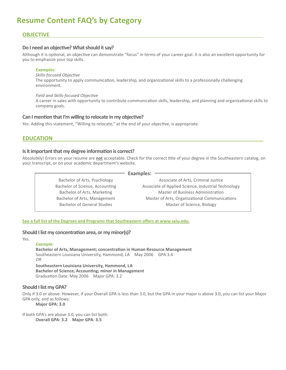## **Resume Content FAQ's by Category**

#### **Objective**

#### **Do I need an objective? What should it say?**

Although it is optional, an objective can demonstrate "focus" in terms of your career goal. It is also an excellent opportunity for you to emphasize your top skills.

#### *Examples:*

*Skills-focused Objective* The opportunity to apply communication, leadership, and organizational skills to a professionally challenging environment.

#### *Field and Skills-focused Objective*

A career in sales with opportunity to contribute communication skills, leadership, and planning and organizational skills to company goals.

#### **Can I mention that I'm willing to relocate in my objective?**

Yes. Adding this statement, "Willing to relocate," at the end of your objective, is appropriate.

#### **Education**

#### **Is it important that my degree information is correct?**

Bachelor of Arts, Psychology Bachelor of Science, Accounting Bachelor of Arts, Marketing Bachelor of Arts, Management Bachelor of General Studies

Absolutely! Errors on your resume are **not** acceptable. Check for the correct title of your degree in the Southeastern catalog, on your transcript, or on your academic department's website.

**Examples:** 

Associate of Arts, Criminal Justice Associate of Applied Science, Industrial Technology Master of Business Administration Master of Arts, Organizational Communications Master of Science, Biology

**See a full list of the Degrees and Programs that Southeastern offers at www.selu.edu.**

#### **Should I list my concentration area, or my minor(s)?**

#### Yes.

*Example:* **Bachelor of Arts, Management; concentration in Human Resource Management** Southeastern Louisiana University, Hammond, LA May 2006 GPA 3.4 *OR* **Southeastern Louisiana University, Hammond, LA Bachelor of Science, Accounting; minor in Management** Graduation Date: May 2006 Major GPA: 3.2

#### **Should I list my GPA?**

Only if 3.0 or above. However, if your Overall GPA is less than 3.0, but the GPA in your major is above 3.0, you can list your Major GPA only, and as follows:

**Major GPA: 3.0**

If both GPA's are above 3.0, you can list both: **Overall GPA: 3.2 Major GPA: 3.5**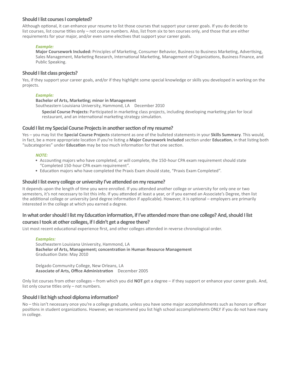#### **Should I list courses I completed?**

Although optional, it can enhance your resume to list those courses that support your career goals. If you do decide to list courses, list course titles only – not course numbers. Also, list from six to ten courses only, and those that are either requirements for your major, and/or even some electives that support your career goals.

#### *Example:*

**Major Coursework Included:** Principles of Marketing, Consumer Behavior, Business to Business Marketing, Advertising, Sales Management, Marketing Research, International Marketing, Management of Organizations, Business Finance, and Public Speaking.

#### **Should I list class projects?**

Yes, if they support your career goals, and/or if they highlight some special knowledge or skills you developed in working on the projects.

#### *Example:*

#### **Bachelor of Arts, Marketing; minor in Management**

Southeastern Louisiana University, Hammond, LA December 2010

**Special Course Projects:** Participated in marketing class projects, including developing marketing plan for local restaurant, and an international marketing strategy simulation.

#### **Could I list my Special Course Projects in another section of my resume?**

Yes – you may list the **Special Course Projects** statement as one of the bulleted statements in your **Skills Summary**. This would, in fact, be a more appropriate location if you're listing a **Major Coursework Included** section under **Education**, in that listing both "subcategories" under **Education** may be too much information for that one section.

#### *NOTE:*

- Accounting majors who have completed, or will complete, the 150-hour CPA exam requirement should state "Completed 150-hour CPA exam requirement".
- Education majors who have completed the Praxis Exam should state, "Praxis Exam Completed".

#### **Should I list every college or university I've attended on my resume?**

It depends upon the length of time you were enrolled. If you attended another college or university for only one or two semesters, it's not necessary to list this info. If you attended at least a year, or if you earned an Associate's Degree, then list the additional college or university (and degree information if applicable). However, it is optional – employers are primarily interested in the college at which you earned a degree.

### **In what order should I list my Education information, if I've attended more than one college? And, should I list**

### **courses I took at other colleges, if I didn't get a degree there?**

List most recent educational experience first, and other colleges attended in reverse chronological order.

#### *Examples:*

Southeastern Louisiana University, Hammond, LA **Bachelor of Arts, Management; concentration in Human Resource Management** Graduation Date: May 2010

Delgado Community College, New Orleans, LA **Associate of Arts, Office Administration** December 2005

Only list courses from other colleges – from which you did **NOT** get a degree – if they support or enhance your career goals. And, list only course titles only – not numbers.

#### **Should I list high school diploma information?**

No – this isn't necessary once you're a college graduate, unless you have some major accomplishments such as honors or officer positions in student organizations. However, we recommend you list high school accomplishments ONLY if you do not have many in college.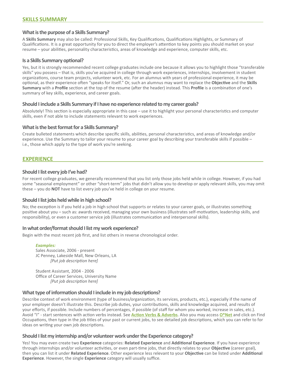#### **What is the purpose of a Skills Summary?**

A **Skills Summary** may also be called: Professional Skills, Key Qualifications, Qualifications Highlights, or Summary of Qualifications. It is a great opportunity for you to direct the employer's attention to key points you should market on your resume – your abilities, personality characteristics, areas of knowledge and experience, computer skills, etc.

#### **Is a Skills Summary optional?**

Yes, but it is strongly recommended recent college graduates include one because it allows you to highlight those "transferable skills" you possess – that is, skills you've acquired in college through work experiences, internships, involvement in student organizations, course team projects, volunteer work, etc. For an alumnus with years of professional experience, it may be optional, as their experience often "speaks for itself." Or, such an alumnus may want to replace the **Objective** and the **Skills Summary** with a **Profile** section at the top of the resume (after the header) instead. This **Profile** is a combination of one's summary of key skills, experience, and career goals.

#### **Should I include a Skills Summary if I have no experience related to my career goals?**

Absolutely! This section is especially appropriate in this case – use it to highlight your personal characteristics and computer skills, even if not able to include statements relevant to work experiences.

#### **What is the best format for a Skills Summary?**

Create bulleted statements which describe specific skills, abilities, personal characteristics, and areas of knowledge and/or experience. Use the Summary to tailor your resume to your career goal by describing your transferable skills if possible – i.e., those which apply to the type of work you're seeking.

#### **Experience**

#### **Should I list every job I've had?**

For recent college graduates, we generally recommend that you list only those jobs held while in college. However, if you had some "seasonal employment" or other "short-term" jobs that didn't allow you to develop or apply relevant skills, you may omit these – you do **NOT** have to list every job you've held in college on your resume.

#### **Should I list jobs held while in high school?**

No; the exception is if you held a job in high school that supports or relates to your career goals, or illustrates something positive about you – such as: awards received, managing your own business (illustrates self-motivation, leadership skills, and responsibility), or even a customer service job (illustrates communication and interpersonal skills).

#### **In what order/format should I list my work experience?**

Begin with the most recent job first, and list others in reverse chronological order.

#### *Examples:*

Sales Associate, 2006 - present JC Penney, Lakeside Mall, New Orleans, LA *[Put job description here]*

Student Assistant, 2004 - 2006 Office of Career Services, University Name *[Put job description here]*

#### **What type of information should I include in my job descriptions?**

Describe context of work environment (type of business/organization, its services, products, etc.), especially if the name of your employer doesn't illustrate this. Describe job duties, your contributions, skills and knowledge acquired, and results of your efforts, if possible. Include numbers of percentages, if possible (of staff for whom you worked, increase in sales, etc.). Avoid "I" - start sentences with action verbs instead. See **[Action Verbs & Adverbs](http://www.southeastern.edu/admin/career_srv/build_a_resume/assets/action-verbs.pdf)**. Also you may access **[O\\*Net](http://www.onetonline.org)** and click on Find Occupations, then type in the job titles of your past or current jobs, to see detailed job descriptions, which you can refer to for ideas on writing your own job descriptions.

#### **Should I list my internship and/or volunteer work under the Experience category?**

Yes! You may even create two **Experience** categories: **Related Experience** and **Additional Experience**. If you have experience through internships and/or volunteer activities, or even part-time jobs, that directly relates to your **Objective** (career goal), then you can list it under **Related Experience**. Other experience less relevant to your **Objective** can be listed under **Additional Experience**. However, the single **Experience** category will usually suffice.